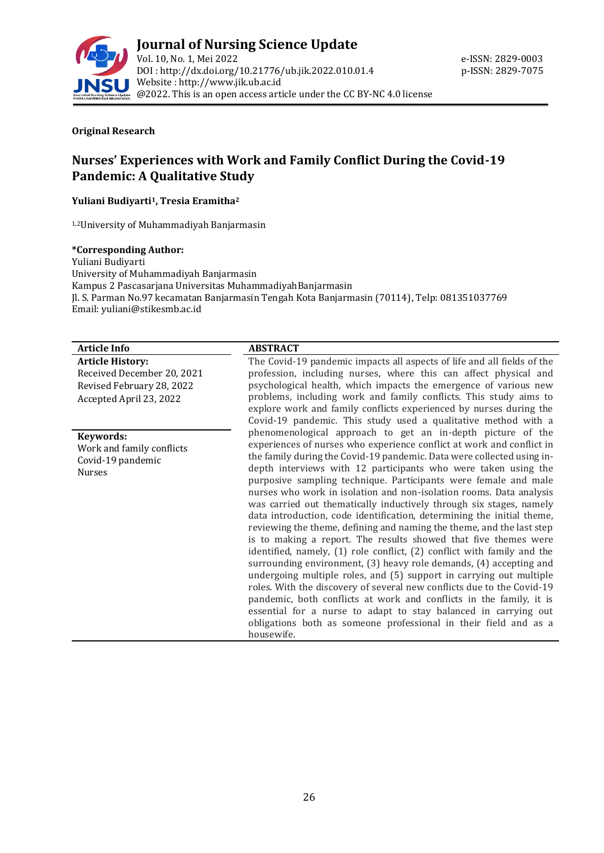

#### **Original Research**

# **Nurses' Experiences with Work and Family Conflict During the Covid-19 Pandemic: A Qualitative Study**

#### **Yuliani Budiyarti1, Tresia Eramitha<sup>2</sup>**

1,2University of Muhammadiyah Banjarmasin

#### **\*Corresponding Author:**

Yuliani Budiyarti University of Muhammadiyah Banjarmasin Kampus 2 Pascasarjana Universitas MuhammadiyahBanjarmasin Jl. S. Parman No.97 kecamatan Banjarmasin Tengah Kota Banjarmasin (70114), Telp: 081351037769 Email: yuliani@stikesmb.ac.id

#### **Article Info ABSTRACT**

**Article History:** Received December 20, 2021 Revised February 28, 2022 Accepted April 23, 2022

**Keywords:**

Work and family conflicts Covid-19 pandemic Nurses

The Covid-19 pandemic impacts all aspects of life and all fields of the profession, including nurses, where this can affect physical and psychological health, which impacts the emergence of various new problems, including work and family conflicts. This study aims to explore work and family conflicts experienced by nurses during the Covid-19 pandemic. This study used a qualitative method with a phenomenological approach to get an in-depth picture of the experiences of nurses who experience conflict at work and conflict in the family during the Covid-19 pandemic. Data were collected using indepth interviews with 12 participants who were taken using the purposive sampling technique. Participants were female and male nurses who work in isolation and non-isolation rooms. Data analysis was carried out thematically inductively through six stages, namely data introduction, code identification, determining the initial theme, reviewing the theme, defining and naming the theme, and the last step is to making a report. The results showed that five themes were identified, namely, (1) role conflict, (2) conflict with family and the surrounding environment, (3) heavy role demands, (4) accepting and undergoing multiple roles, and (5) support in carrying out multiple roles. With the discovery of several new conflicts due to the Covid-19 pandemic, both conflicts at work and conflicts in the family, it is essential for a nurse to adapt to stay balanced in carrying out obligations both as someone professional in their field and as a housewife.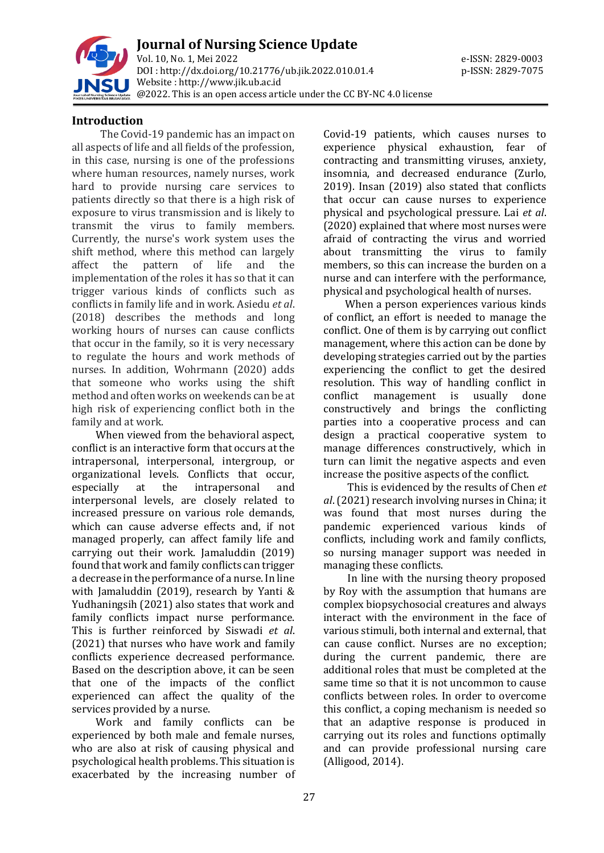

#### **Introduction**

The Covid-19 pandemic has an impact on all aspects of life and all fields of the profession, in this case, nursing is one of the professions where human resources, namely nurses, work hard to provide nursing care services to patients directly so that there is a high risk of exposure to virus transmission and is likely to transmit the virus to family members. Currently, the nurse's work system uses the shift method, where this method can largely affect the pattern of life and the implementation of the roles it has so that it can trigger various kinds of conflicts such as conflicts in family life and in work. Asiedu *et al*. (2018) describes the methods and long working hours of nurses can cause conflicts that occur in the family, so it is very necessary to regulate the hours and work methods of nurses. In addition, Wohrmann (2020) adds that someone who works using the shift method and often works on weekends can be at high risk of experiencing conflict both in the family and at work.

When viewed from the behavioral aspect, conflict is an interactive form that occurs at the intrapersonal, interpersonal, intergroup, or organizational levels. Conflicts that occur, especially at the intrapersonal and interpersonal levels, are closely related to increased pressure on various role demands, which can cause adverse effects and, if not managed properly, can affect family life and carrying out their work. Jamaluddin (2019) found that work and family conflicts can trigger a decrease in the performance of a nurse. In line with Jamaluddin (2019), research by Yanti & Yudhaningsih (2021) also states that work and family conflicts impact nurse performance. This is further reinforced by Siswadi *et al*. (2021) that nurses who have work and family conflicts experience decreased performance. Based on the description above, it can be seen that one of the impacts of the conflict experienced can affect the quality of the services provided by a nurse.

Work and family conflicts can be experienced by both male and female nurses, who are also at risk of causing physical and psychological health problems. This situation is exacerbated by the increasing number of Covid-19 patients, which causes nurses to experience physical exhaustion, fear of contracting and transmitting viruses, anxiety, insomnia, and decreased endurance (Zurlo, 2019). Insan (2019) also stated that conflicts that occur can cause nurses to experience physical and psychological pressure. Lai *et al*. (2020) explained that where most nurses were afraid of contracting the virus and worried about transmitting the virus to family members, so this can increase the burden on a nurse and can interfere with the performance, physical and psychological health of nurses.

When a person experiences various kinds of conflict, an effort is needed to manage the conflict. One of them is by carrying out conflict management, where this action can be done by developing strategies carried out by the parties experiencing the conflict to get the desired resolution. This way of handling conflict in conflict management is usually done constructively and brings the conflicting parties into a cooperative process and can design a practical cooperative system to manage differences constructively, which in turn can limit the negative aspects and even increase the positive aspects of the conflict.

This is evidenced by the results of Chen *et al*. (2021) research involving nurses in China; it was found that most nurses during the pandemic experienced various kinds of conflicts, including work and family conflicts, so nursing manager support was needed in managing these conflicts.

In line with the nursing theory proposed by Roy with the assumption that humans are complex biopsychosocial creatures and always interact with the environment in the face of various stimuli, both internal and external, that can cause conflict. Nurses are no exception; during the current pandemic, there are additional roles that must be completed at the same time so that it is not uncommon to cause conflicts between roles. In order to overcome this conflict, a coping mechanism is needed so that an adaptive response is produced in carrying out its roles and functions optimally and can provide professional nursing care (Alligood, 2014).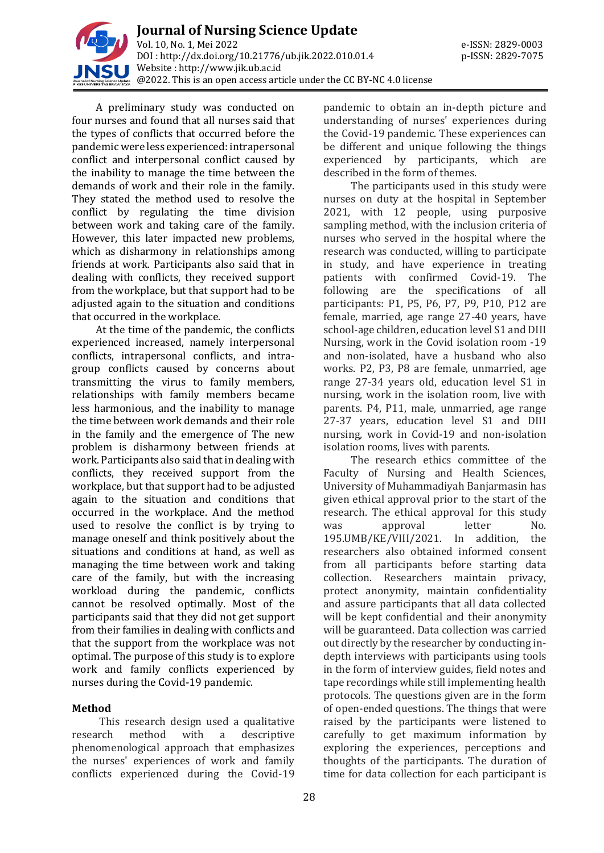

A preliminary study was conducted on four nurses and found that all nurses said that the types of conflicts that occurred before the pandemic were less experienced: intrapersonal conflict and interpersonal conflict caused by the inability to manage the time between the demands of work and their role in the family. They stated the method used to resolve the conflict by regulating the time division between work and taking care of the family. However, this later impacted new problems, which as disharmony in relationships among friends at work. Participants also said that in dealing with conflicts, they received support from the workplace, but that support had to be adjusted again to the situation and conditions that occurred in the workplace.

At the time of the pandemic, the conflicts experienced increased, namely interpersonal conflicts, intrapersonal conflicts, and intragroup conflicts caused by concerns about transmitting the virus to family members, relationships with family members became less harmonious, and the inability to manage the time between work demands and their role in the family and the emergence of The new problem is disharmony between friends at work. Participants also said that in dealing with conflicts, they received support from the workplace, but that support had to be adjusted again to the situation and conditions that occurred in the workplace. And the method used to resolve the conflict is by trying to manage oneself and think positively about the situations and conditions at hand, as well as managing the time between work and taking care of the family, but with the increasing workload during the pandemic, conflicts cannot be resolved optimally. Most of the participants said that they did not get support from their families in dealing with conflicts and that the support from the workplace was not optimal. The purpose of this study is to explore work and family conflicts experienced by nurses during the Covid-19 pandemic.

#### **Method**

This research design used a qualitative research method with a descriptive phenomenological approach that emphasizes the nurses' experiences of work and family conflicts experienced during the Covid-19

pandemic to obtain an in-depth picture and understanding of nurses' experiences during the Covid-19 pandemic. These experiences can be different and unique following the things experienced by participants, which are described in the form of themes.

The participants used in this study were nurses on duty at the hospital in September 2021, with 12 people, using purposive sampling method, with the inclusion criteria of nurses who served in the hospital where the research was conducted, willing to participate in study, and have experience in treating patients with confirmed Covid-19. The following are the specifications of all participants: P1, P5, P6, P7, P9, P10, P12 are female, married, age range 27-40 years, have school-age children, education level S1 and DIII Nursing, work in the Covid isolation room -19 and non-isolated, have a husband who also works. P2, P3, P8 are female, unmarried, age range 27-34 years old, education level S1 in nursing, work in the isolation room, live with parents. P4, P11, male, unmarried, age range 27-37 years, education level S1 and DIII nursing, work in Covid-19 and non-isolation isolation rooms, lives with parents.

The research ethics committee of the Faculty of Nursing and Health Sciences, University of Muhammadiyah Banjarmasin has given ethical approval prior to the start of the research. The ethical approval for this study was approval letter No. 195.UMB/KE/VIII/2021. In addition, the researchers also obtained informed consent from all participants before starting data collection. Researchers maintain privacy, protect anonymity, maintain confidentiality and assure participants that all data collected will be kept confidential and their anonymity will be guaranteed. Data collection was carried out directly by the researcher by conducting indepth interviews with participants using tools in the form of interview guides, field notes and tape recordings while still implementing health protocols. The questions given are in the form of open-ended questions. The things that were raised by the participants were listened to carefully to get maximum information by exploring the experiences, perceptions and thoughts of the participants. The duration of time for data collection for each participant is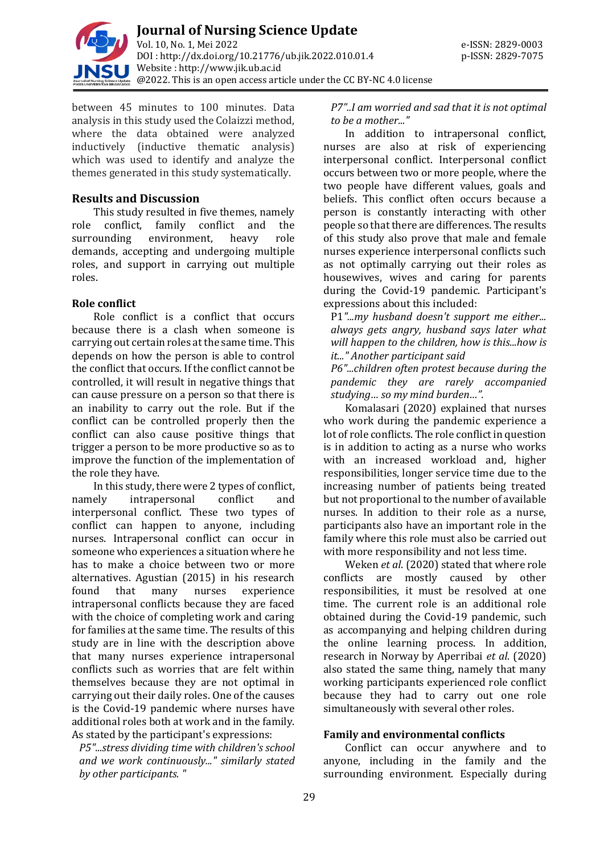

between 45 minutes to 100 minutes. Data analysis in this study used the Colaizzi method, where the data obtained were analyzed inductively (inductive thematic analysis) which was used to identify and analyze the themes generated in this study systematically.

#### **Results and Discussion**

This study resulted in five themes, namely role conflict, family conflict and the surrounding environment, heavy role demands, accepting and undergoing multiple roles, and support in carrying out multiple roles.

## **Role conflict**

Role conflict is a conflict that occurs because there is a clash when someone is carrying out certain roles at the same time. This depends on how the person is able to control the conflict that occurs. If the conflict cannot be controlled, it will result in negative things that can cause pressure on a person so that there is an inability to carry out the role. But if the conflict can be controlled properly then the conflict can also cause positive things that trigger a person to be more productive so as to improve the function of the implementation of the role they have.

In this study, there were 2 types of conflict, namely intrapersonal conflict and interpersonal conflict. These two types of conflict can happen to anyone, including nurses. Intrapersonal conflict can occur in someone who experiences a situation where he has to make a choice between two or more alternatives. Agustian (2015) in his research found that many nurses experience intrapersonal conflicts because they are faced with the choice of completing work and caring for families at the same time. The results of this study are in line with the description above that many nurses experience intrapersonal conflicts such as worries that are felt within themselves because they are not optimal in carrying out their daily roles. One of the causes is the Covid-19 pandemic where nurses have additional roles both at work and in the family. As stated by the participant's expressions:

*P5"...stress dividing time with children's school and we work continuously..." similarly stated by other participants. "*

*P7"..I am worried and sad that it is not optimal to be a mother..."*

In addition to intrapersonal conflict, nurses are also at risk of experiencing interpersonal conflict. Interpersonal conflict occurs between two or more people, where the two people have different values, goals and beliefs. This conflict often occurs because a person is constantly interacting with other people so that there are differences. The results of this study also prove that male and female nurses experience interpersonal conflicts such as not optimally carrying out their roles as housewives, wives and caring for parents during the Covid-19 pandemic. Participant's expressions about this included:

P1*"...my husband doesn't support me either... always gets angry, husband says later what will happen to the children, how is this...how is it..." Another participant said* 

*P6"...children often protest because during the pandemic they are rarely accompanied studying… so my mind burden…".*

Komalasari (2020) explained that nurses who work during the pandemic experience a lot of role conflicts. The role conflict in question is in addition to acting as a nurse who works with an increased workload and, higher responsibilities, longer service time due to the increasing number of patients being treated but not proportional to the number of available nurses. In addition to their role as a nurse, participants also have an important role in the family where this role must also be carried out with more responsibility and not less time.

Weken *et al*. (2020) stated that where role conflicts are mostly caused by other responsibilities, it must be resolved at one time. The current role is an additional role obtained during the Covid-19 pandemic, such as accompanying and helping children during the online learning process. In addition, research in Norway by Aperribai *et al*. (2020) also stated the same thing, namely that many working participants experienced role conflict because they had to carry out one role simultaneously with several other roles.

#### **Family and environmental conflicts**

Conflict can occur anywhere and to anyone, including in the family and the surrounding environment. Especially during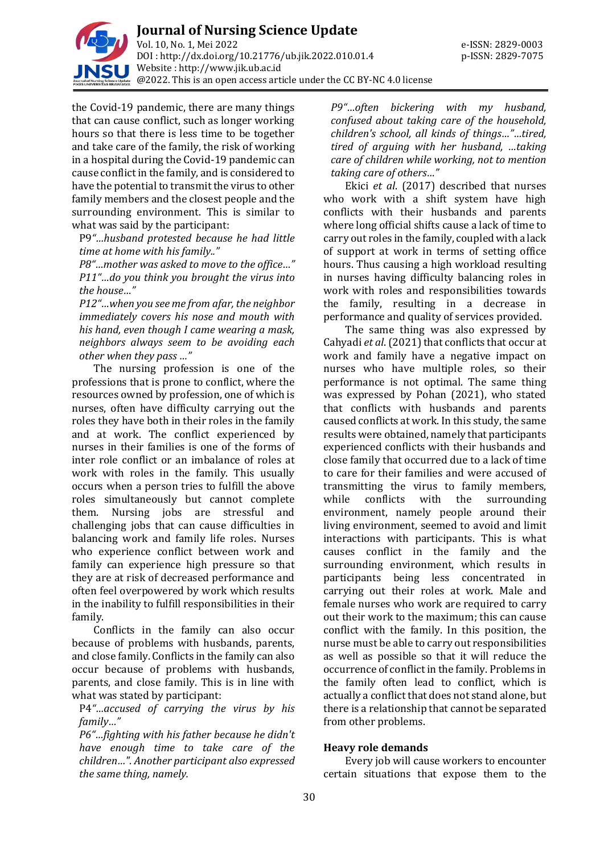

the Covid-19 pandemic, there are many things that can cause conflict, such as longer working hours so that there is less time to be together and take care of the family, the risk of working in a hospital during the Covid-19 pandemic can cause conflict in the family, and is considered to have the potential to transmit the virus to other family members and the closest people and the surrounding environment. This is similar to what was said by the participant:

P9*"…husband protested because he had little time at home with his family.."*

*P8"…mother was asked to move to the office…" P11"…do you think you brought the virus into the house…"* 

*P12"…when you see me from afar, the neighbor immediately covers his nose and mouth with his hand, even though I came wearing a mask, neighbors always seem to be avoiding each other when they pass …"*

The nursing profession is one of the professions that is prone to conflict, where the resources owned by profession, one of which is nurses, often have difficulty carrying out the roles they have both in their roles in the family and at work. The conflict experienced by nurses in their families is one of the forms of inter role conflict or an imbalance of roles at work with roles in the family. This usually occurs when a person tries to fulfill the above roles simultaneously but cannot complete them. Nursing jobs are stressful and challenging jobs that can cause difficulties in balancing work and family life roles. Nurses who experience conflict between work and family can experience high pressure so that they are at risk of decreased performance and often feel overpowered by work which results in the inability to fulfill responsibilities in their family.

Conflicts in the family can also occur because of problems with husbands, parents, and close family. Conflicts in the family can also occur because of problems with husbands, parents, and close family. This is in line with what was stated by participant:

P4*"…accused of carrying the virus by his family…"* 

*P6"…fighting with his father because he didn't have enough time to take care of the children…". Another participant also expressed the same thing, namely.* 

*P9"…often bickering with my husband, confused about taking care of the household, children's school, all kinds of things…"…tired, tired of arguing with her husband, …taking care of children while working, not to mention taking care of others…"*

Ekici *et al*. (2017) described that nurses who work with a shift system have high conflicts with their husbands and parents where long official shifts cause a lack of time to carry out roles in the family, coupled with a lack of support at work in terms of setting office hours. Thus causing a high workload resulting in nurses having difficulty balancing roles in work with roles and responsibilities towards the family, resulting in a decrease in performance and quality of services provided.

The same thing was also expressed by Cahyadi *et al*. (2021) that conflicts that occur at work and family have a negative impact on nurses who have multiple roles, so their performance is not optimal. The same thing was expressed by Pohan (2021), who stated that conflicts with husbands and parents caused conflicts at work. In this study, the same results were obtained, namely that participants experienced conflicts with their husbands and close family that occurred due to a lack of time to care for their families and were accused of transmitting the virus to family members, while conflicts with the surrounding environment, namely people around their living environment, seemed to avoid and limit interactions with participants. This is what causes conflict in the family and the surrounding environment, which results in participants being less concentrated in carrying out their roles at work. Male and female nurses who work are required to carry out their work to the maximum; this can cause conflict with the family. In this position, the nurse must be able to carry out responsibilities as well as possible so that it will reduce the occurrence of conflict in the family. Problems in the family often lead to conflict, which is actually a conflict that does not stand alone, but there is a relationship that cannot be separated from other problems.

#### **Heavy role demands**

Every job will cause workers to encounter certain situations that expose them to the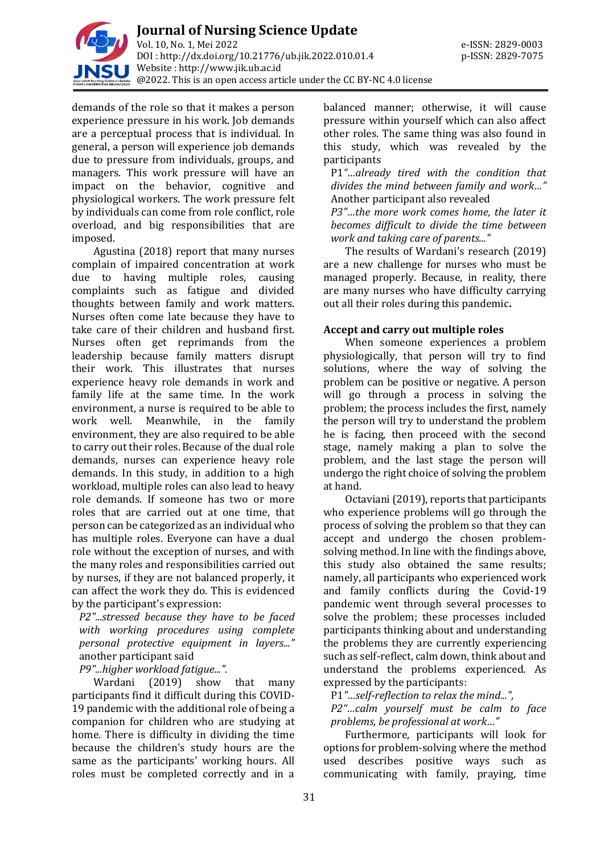

demands of the role so that it makes a person experience pressure in his work. Job demands are a perceptual process that is individual. In general, a person will experience job demands due to pressure from individuals, groups, and managers. This work pressure will have an impact on the behavior, cognitive and physiological workers. The work pressure felt by individuals can come from role conflict, role overload, and big responsibilities that are imposed.

Agustina (2018) report that many nurses complain of impaired concentration at work due to having multiple roles, causing complaints such as fatigue and divided thoughts between family and work matters. Nurses often come late because they have to take care of their children and husband first. Nurses often get reprimands from the leadership because family matters disrupt their work. This illustrates that nurses experience heavy role demands in work and family life at the same time. In the work environment, a nurse is required to be able to work well. Meanwhile, in the family environment, they are also required to be able to carry out their roles. Because of the dual role demands, nurses can experience heavy role demands. In this study, in addition to a high workload, multiple roles can also lead to heavy role demands. If someone has two or more roles that are carried out at one time, that person can be categorized as an individual who has multiple roles. Everyone can have a dual role without the exception of nurses, and with the many roles and responsibilities carried out by nurses, if they are not balanced properly, it can affect the work they do. This is evidenced by the participant's expression:

*P2"...stressed because they have to be faced with working procedures using complete personal protective equipment in layers..."*  another participant said

*P9"...higher workload fatigue...".*

Wardani (2019) show that many participants find it difficult during this COVID-19 pandemic with the additional role of being a companion for children who are studying at home. There is difficulty in dividing the time because the children's study hours are the same as the participants' working hours. All roles must be completed correctly and in a

balanced manner; otherwise, it will cause pressure within yourself which can also affect other roles. The same thing was also found in this study, which was revealed by the participants

P1*"…already tired with the condition that divides the mind between family and work…"* Another participant also revealed

*P3"…the more work comes home, the later it becomes difficult to divide the time between work and taking care of parents..."*

The results of Wardani's research (2019) are a new challenge for nurses who must be managed properly. Because, in reality, there are many nurses who have difficulty carrying out all their roles during this pandemic**.**

#### **Accept and carry out multiple roles**

When someone experiences a problem physiologically, that person will try to find solutions, where the way of solving the problem can be positive or negative. A person will go through a process in solving the problem; the process includes the first, namely the person will try to understand the problem he is facing, then proceed with the second stage, namely making a plan to solve the problem, and the last stage the person will undergo the right choice of solving the problem at hand.

Octaviani (2019), reports that participants who experience problems will go through the process of solving the problem so that they can accept and undergo the chosen problemsolving method. In line with the findings above, this study also obtained the same results; namely, all participants who experienced work and family conflicts during the Covid-19 pandemic went through several processes to solve the problem; these processes included participants thinking about and understanding the problems they are currently experiencing such as self-reflect, calm down, think about and understand the problems experienced. As expressed by the participants:

P1*"…self-reflection to relax the mind...",* 

*P2"…calm yourself must be calm to face problems, be professional at work…"*

Furthermore, participants will look for options for problem-solving where the method used describes positive ways such as communicating with family, praying, time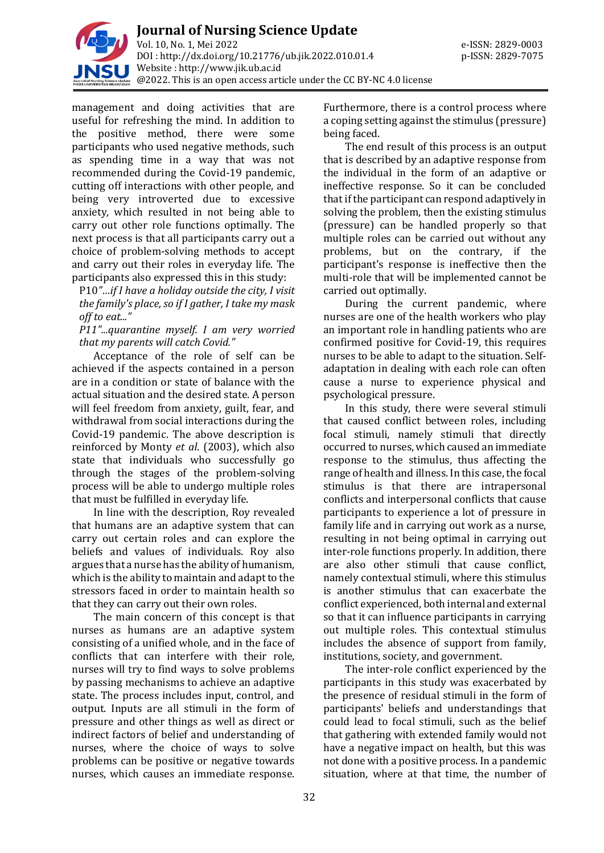

management and doing activities that are useful for refreshing the mind. In addition to the positive method, there were some participants who used negative methods, such as spending time in a way that was not recommended during the Covid-19 pandemic, cutting off interactions with other people, and being very introverted due to excessive anxiety, which resulted in not being able to carry out other role functions optimally. The next process is that all participants carry out a choice of problem-solving methods to accept and carry out their roles in everyday life. The participants also expressed this in this study:

P10*"…if I have a holiday outside the city, I visit the family's place, so if I gather, I take my mask off to eat..."*

*P11"...quarantine myself. I am very worried that my parents will catch Covid."*

Acceptance of the role of self can be achieved if the aspects contained in a person are in a condition or state of balance with the actual situation and the desired state. A person will feel freedom from anxiety, guilt, fear, and withdrawal from social interactions during the Covid-19 pandemic. The above description is reinforced by Monty *et al*. (2003), which also state that individuals who successfully go through the stages of the problem-solving process will be able to undergo multiple roles that must be fulfilled in everyday life.

In line with the description, Roy revealed that humans are an adaptive system that can carry out certain roles and can explore the beliefs and values of individuals. Roy also argues that a nurse has the ability of humanism, which is the ability to maintain and adapt to the stressors faced in order to maintain health so that they can carry out their own roles.

The main concern of this concept is that nurses as humans are an adaptive system consisting of a unified whole, and in the face of conflicts that can interfere with their role, nurses will try to find ways to solve problems by passing mechanisms to achieve an adaptive state. The process includes input, control, and output. Inputs are all stimuli in the form of pressure and other things as well as direct or indirect factors of belief and understanding of nurses, where the choice of ways to solve problems can be positive or negative towards nurses, which causes an immediate response.

Furthermore, there is a control process where a coping setting against the stimulus (pressure) being faced.

The end result of this process is an output that is described by an adaptive response from the individual in the form of an adaptive or ineffective response. So it can be concluded that if the participant can respond adaptively in solving the problem, then the existing stimulus (pressure) can be handled properly so that multiple roles can be carried out without any problems, but on the contrary, if the participant's response is ineffective then the multi-role that will be implemented cannot be carried out optimally.

During the current pandemic, where nurses are one of the health workers who play an important role in handling patients who are confirmed positive for Covid-19, this requires nurses to be able to adapt to the situation. Selfadaptation in dealing with each role can often cause a nurse to experience physical and psychological pressure.

In this study, there were several stimuli that caused conflict between roles, including focal stimuli, namely stimuli that directly occurred to nurses, which caused an immediate response to the stimulus, thus affecting the range of health and illness. In this case, the focal stimulus is that there are intrapersonal conflicts and interpersonal conflicts that cause participants to experience a lot of pressure in family life and in carrying out work as a nurse, resulting in not being optimal in carrying out inter-role functions properly. In addition, there are also other stimuli that cause conflict, namely contextual stimuli, where this stimulus is another stimulus that can exacerbate the conflict experienced, both internal and external so that it can influence participants in carrying out multiple roles. This contextual stimulus includes the absence of support from family, institutions, society, and government.

The inter-role conflict experienced by the participants in this study was exacerbated by the presence of residual stimuli in the form of participants' beliefs and understandings that could lead to focal stimuli, such as the belief that gathering with extended family would not have a negative impact on health, but this was not done with a positive process. In a pandemic situation, where at that time, the number of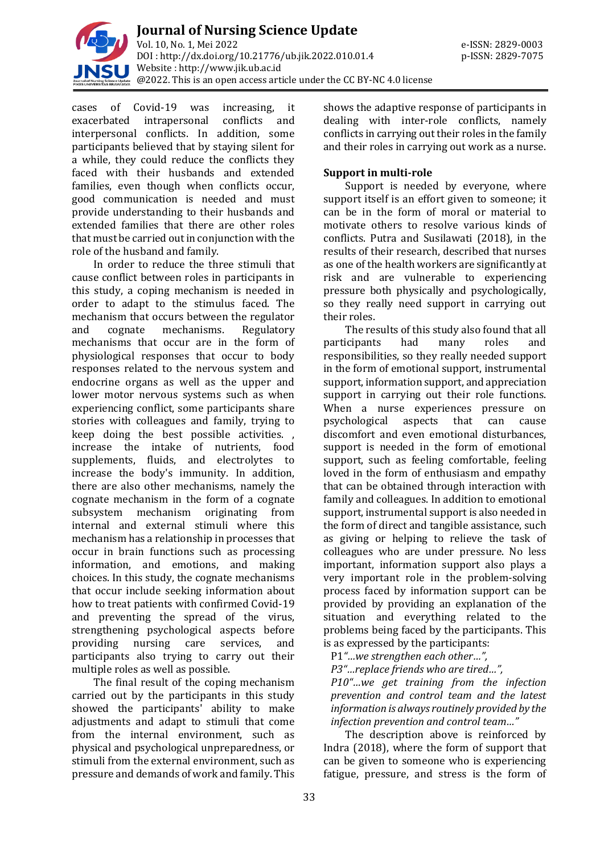

cases of Covid-19 was increasing, it exacerbated intrapersonal conflicts and interpersonal conflicts. In addition, some participants believed that by staying silent for a while, they could reduce the conflicts they faced with their husbands and extended families, even though when conflicts occur, good communication is needed and must provide understanding to their husbands and extended families that there are other roles that must be carried out in conjunction with the role of the husband and family.

In order to reduce the three stimuli that cause conflict between roles in participants in this study, a coping mechanism is needed in order to adapt to the stimulus faced. The mechanism that occurs between the regulator and cognate mechanisms. Regulatory mechanisms that occur are in the form of physiological responses that occur to body responses related to the nervous system and endocrine organs as well as the upper and lower motor nervous systems such as when experiencing conflict, some participants share stories with colleagues and family, trying to keep doing the best possible activities. , increase the intake of nutrients, food supplements, fluids, and electrolytes to increase the body's immunity. In addition, there are also other mechanisms, namely the cognate mechanism in the form of a cognate subsystem mechanism originating from internal and external stimuli where this mechanism has a relationship in processes that occur in brain functions such as processing information, and emotions, and making choices. In this study, the cognate mechanisms that occur include seeking information about how to treat patients with confirmed Covid-19 and preventing the spread of the virus, strengthening psychological aspects before providing nursing care services, and participants also trying to carry out their multiple roles as well as possible.

The final result of the coping mechanism carried out by the participants in this study showed the participants' ability to make adjustments and adapt to stimuli that come from the internal environment, such as physical and psychological unpreparedness, or stimuli from the external environment, such as pressure and demands of work and family. This

shows the adaptive response of participants in dealing with inter-role conflicts, namely conflicts in carrying out their roles in the family and their roles in carrying out work as a nurse.

### **Support in multi-role**

Support is needed by everyone, where support itself is an effort given to someone; it can be in the form of moral or material to motivate others to resolve various kinds of conflicts. Putra and Susilawati (2018), in the results of their research, described that nurses as one of the health workers are significantly at risk and are vulnerable to experiencing pressure both physically and psychologically, so they really need support in carrying out their roles.

The results of this study also found that all participants had many roles and responsibilities, so they really needed support in the form of emotional support, instrumental support, information support, and appreciation support in carrying out their role functions. When a nurse experiences pressure on psychological aspects that can cause discomfort and even emotional disturbances, support is needed in the form of emotional support, such as feeling comfortable, feeling loved in the form of enthusiasm and empathy that can be obtained through interaction with family and colleagues. In addition to emotional support, instrumental support is also needed in the form of direct and tangible assistance, such as giving or helping to relieve the task of colleagues who are under pressure. No less important, information support also plays a very important role in the problem-solving process faced by information support can be provided by providing an explanation of the situation and everything related to the problems being faced by the participants. This is as expressed by the participants:

P1*"…we strengthen each other…",* 

*P3"…replace friends who are tired…",* 

*P10"…we get training from the infection prevention and control team and the latest information is always routinely provided by the infection prevention and control team…"*

The description above is reinforced by Indra (2018), where the form of support that can be given to someone who is experiencing fatigue, pressure, and stress is the form of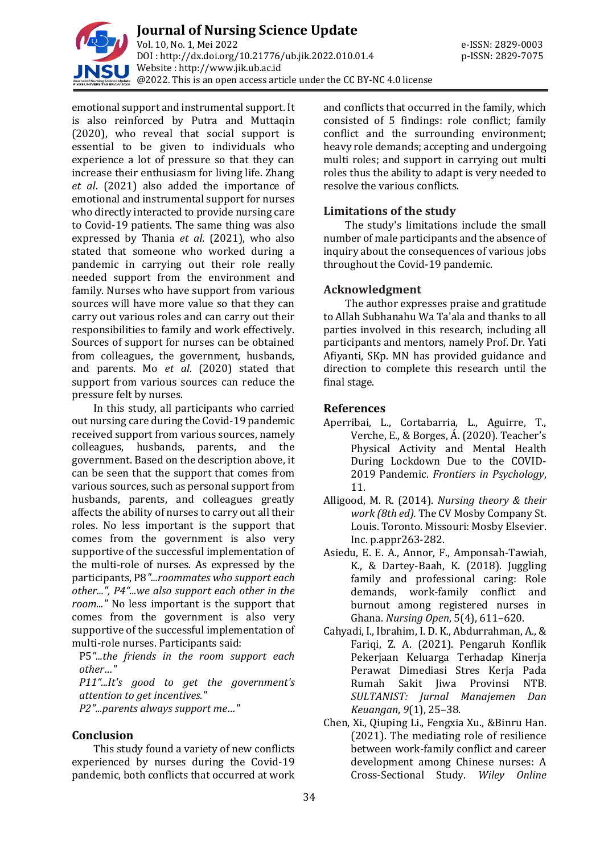

**Journal of Nursing Science Update** Vol. 10, No. 1, Mei 2022 e-ISSN: 2829-0003 DOI : [http://dx.doi.org/10.21776/ub.jik.2022.010.01.4](http://dx.doi.org/10.21776/ub.jik.2022.010.01) p-ISSN: 2829-7075 Website : http:/[/www.jik.ub.ac.id](http://www.jik.ub.ac.id/)  $\tilde{C}_{\alpha}$  @2022. This is an open access article under the CC BY-NC 4.0 license

emotional support and instrumental support. It is also reinforced by Putra and Muttaqin (2020), who reveal that social support is essential to be given to individuals who experience a lot of pressure so that they can increase their enthusiasm for living life. Zhang *et al*. (2021) also added the importance of emotional and instrumental support for nurses who directly interacted to provide nursing care to Covid-19 patients. The same thing was also expressed by Thania *et al*. (2021), who also stated that someone who worked during a pandemic in carrying out their role really needed support from the environment and family. Nurses who have support from various sources will have more value so that they can carry out various roles and can carry out their responsibilities to family and work effectively. Sources of support for nurses can be obtained from colleagues, the government, husbands, and parents. Mo *et al*. (2020) stated that support from various sources can reduce the pressure felt by nurses.

In this study, all participants who carried out nursing care during the Covid-19 pandemic received support from various sources, namely colleagues, husbands, parents, and the government. Based on the description above, it can be seen that the support that comes from various sources, such as personal support from husbands, parents, and colleagues greatly affects the ability of nurses to carry out all their roles. No less important is the support that comes from the government is also very supportive of the successful implementation of the multi-role of nurses. As expressed by the participants, P8*"...roommates who support each other...", P4"...we also support each other in the room..."* No less important is the support that comes from the government is also very supportive of the successful implementation of multi-role nurses. Participants said:

P5*"...the friends in the room support each other…"*

*P11"...It's good to get the government's attention to get incentives."*

*P2"...parents always support me…"*

#### **Conclusion**

This study found a variety of new conflicts experienced by nurses during the Covid-19 pandemic, both conflicts that occurred at work and conflicts that occurred in the family, which consisted of 5 findings: role conflict; family conflict and the surrounding environment; heavy role demands; accepting and undergoing multi roles; and support in carrying out multi roles thus the ability to adapt is very needed to resolve the various conflicts.

## **Limitations of the study**

The study's limitations include the small number of male participants and the absence of inquiry about the consequences of various jobs throughout the Covid-19 pandemic.

## **Acknowledgment**

The author expresses praise and gratitude to Allah Subhanahu Wa Ta'ala and thanks to all parties involved in this research, including all participants and mentors, namely Prof. Dr. Yati Afiyanti, SKp. MN has provided guidance and direction to complete this research until the final stage.

## **References**

- Aperribai, L., Cortabarria, L., Aguirre, T., Verche, E., & Borges, Á. (2020). Teacher's Physical Activity and Mental Health During Lockdown Due to the COVID-2019 Pandemic. *Frontiers in Psychology*, 11.
- Alligood, M. R. (2014). *Nursing theory & their work (8th ed).* The CV Mosby Company St. Louis. Toronto. Missouri: Mosby Elsevier. Inc. p.appr263-282.
- Asiedu, E. E. A., Annor, F., Amponsah-Tawiah, K., & Dartey-Baah, K. (2018). Juggling family and professional caring: Role demands, work-family conflict and burnout among registered nurses in Ghana. *Nursing Open*, 5(4), 611–620.
- Cahyadi, I., Ibrahim, I. D. K., Abdurrahman, A., & Fariqi, Z. A. (2021). Pengaruh Konflik Pekerjaan Keluarga Terhadap Kinerja Perawat Dimediasi Stres Kerja Pada Rumah Sakit Jiwa Provinsi NTB. *SULTANIST: Jurnal Manajemen Dan Keuangan*, *9*(1), 25–38.
- Chen, Xi., Qiuping Li., Fengxia Xu., &Binru Han. (2021). The mediating role of resilience between work-family conflict and career development among Chinese nurses: A Cross-Sectional Study. *Wiley Online*